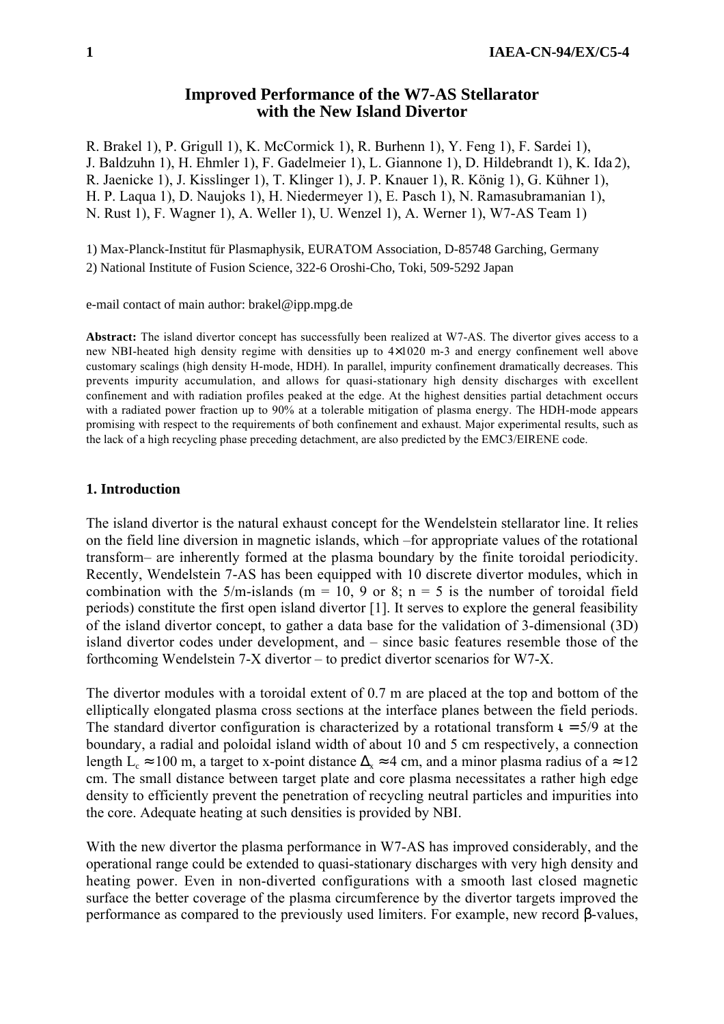# **Improved Performance of the W7-AS Stellarator with the New Island Divertor**

R. Brakel 1), P. Grigull 1), K. McCormick 1), R. Burhenn 1), Y. Feng 1), F. Sardei 1), J. Baldzuhn 1), H. Ehmler 1), F. Gadelmeier 1), L. Giannone 1), D. Hildebrandt 1), K. Ida 2), R. Jaenicke 1), J. Kisslinger 1), T. Klinger 1), J. P. Knauer 1), R. König 1), G. Kühner 1), H. P. Laqua 1), D. Naujoks 1), H. Niedermeyer 1), E. Pasch 1), N. Ramasubramanian 1), N. Rust 1), F. Wagner 1), A. Weller 1), U. Wenzel 1), A. Werner 1), W7-AS Team 1)

1) Max-Planck-Institut für Plasmaphysik, EURATOM Association, D-85748 Garching, Germany 2) National Institute of Fusion Science, 322-6 Oroshi-Cho, Toki, 509-5292 Japan

e-mail contact of main author: brakel@ipp.mpg.de

**Abstract:** The island divertor concept has successfully been realized at W7-AS. The divertor gives access to a new NBI-heated high density regime with densities up to 4×1020 m-3 and energy confinement well above customary scalings (high density H-mode, HDH). In parallel, impurity confinement dramatically decreases. This prevents impurity accumulation, and allows for quasi-stationary high density discharges with excellent confinement and with radiation profiles peaked at the edge. At the highest densities partial detachment occurs with a radiated power fraction up to 90% at a tolerable mitigation of plasma energy. The HDH-mode appears promising with respect to the requirements of both confinement and exhaust. Major experimental results, such as the lack of a high recycling phase preceding detachment, are also predicted by the EMC3/EIRENE code.

## **1. Introduction**

The island divertor is the natural exhaust concept for the Wendelstein stellarator line. It relies on the field line diversion in magnetic islands, which –for appropriate values of the rotational transform— are inherently formed at the plasma boundary by the finite toroidal periodicity. Recently, Wendelstein 7-AS has been equipped with 10 discrete divertor modules, which in combination with the 5/m-islands ( $m = 10$ , 9 or 8;  $n = 5$  is the number of toroidal field periods) constitute the first open island divertor [1]. It serves to explore the general feasibility of the island divertor concept, to gather a data base for the validation of 3-dimensional (3D) island divertor codes under development, and  $-$  since basic features resemble those of the forthcoming Wendelstein  $7-X$  divertor  $-$  to predict divertor scenarios for W7-X.

The divertor modules with a toroidal extent of 0.7 m are placed at the top and bottom of the elliptically elongated plasma cross sections at the interface planes between the field periods. The standard divertor configuration is characterized by a rotational transform  $t = 5/9$  at the boundary, a radial and poloidal island width of about 10 and 5 cm respectively, a connection length L<sub>c</sub> ≈ 100 m, a target to x-point distance  $\Delta$ <sub>x</sub> ≈ 4 cm, and a minor plasma radius of a ≈ 12 cm. The small distance between target plate and core plasma necessitates a rather high edge density to efficiently prevent the penetration of recycling neutral particles and impurities into the core. Adequate heating at such densities is provided by NBI.

With the new divertor the plasma performance in W7-AS has improved considerably, and the operational range could be extended to quasi-stationary discharges with very high density and heating power. Even in non-diverted configurations with a smooth last closed magnetic surface the better coverage of the plasma circumference by the divertor targets improved the performance as compared to the previously used limiters. For example, new record β-values,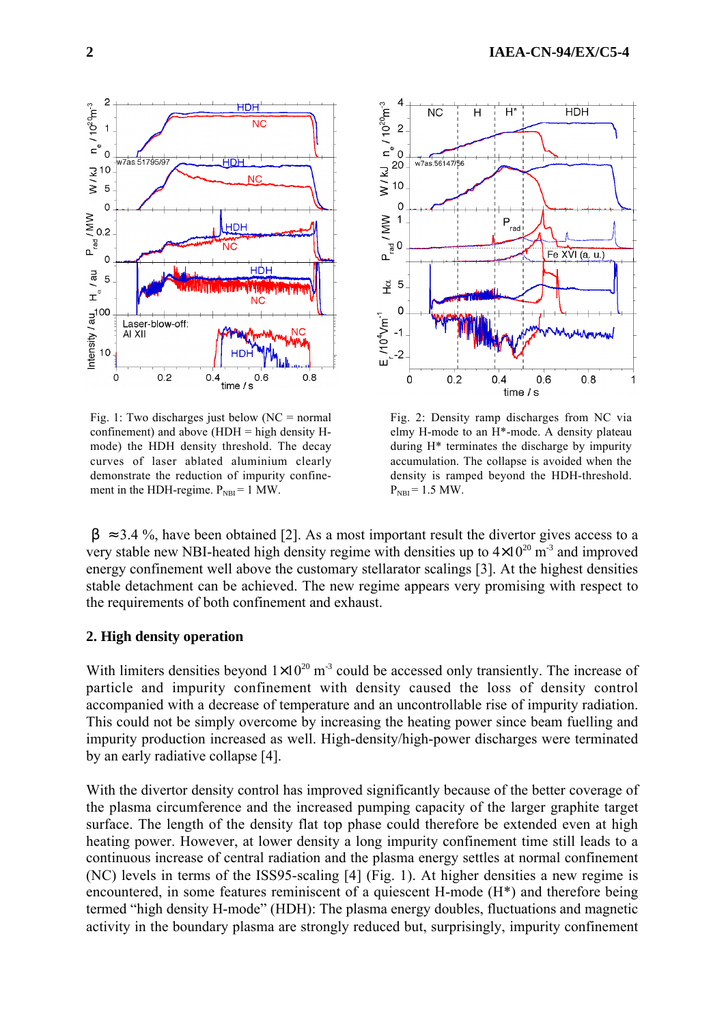

Fig. 1: Two discharges just below  $(NC = normal)$ confinement) and above  $(HDH = high density H$ mode) the HDH density threshold. The decay curves of laser ablated aluminium clearly demonstrate the reduction of impurity confinement in the HDH-regime.  $P_{NBI} = 1$  MW.



Fig. 2: Density ramp discharges from NC via elmy H-mode to an H\*-mode. A density plateau during H\* terminates the discharge by impurity accumulation. The collapse is avoided when the density is ramped beyond the HDH-threshold.  $P_{NBI} = 1.5$  MW.

 $\langle \beta \rangle \approx 3.4$  %, have been obtained [2]. As a most important result the divertor gives access to a very stable new NBI-heated high density regime with densities up to  $4\times10^{20}$  m<sup>-3</sup> and improved energy confinement well above the customary stellarator scalings [3]. At the highest densities stable detachment can be achieved. The new regime appears very promising with respect to the requirements of both confinement and exhaust.

## **2. High density operation**

With limiters densities beyond  $1\times10^{20}$  m<sup>-3</sup> could be accessed only transiently. The increase of particle and impurity confinement with density caused the loss of density control accompanied with a decrease of temperature and an uncontrollable rise of impurity radiation. This could not be simply overcome by increasing the heating power since beam fuelling and impurity production increased as well. High-density/high-power discharges were terminated by an early radiative collapse [4].

With the divertor density control has improved significantly because of the better coverage of the plasma circumference and the increased pumping capacity of the larger graphite target surface. The length of the density flat top phase could therefore be extended even at high heating power. However, at lower density a long impurity confinement time still leads to a continuous increase of central radiation and the plasma energy settles at normal confinement (NC) levels in terms of the ISS95-scaling [4] (Fig. 1). At higher densities a new regime is encountered, in some features reminiscent of a quiescent H-mode (H\*) and therefore being termed "high density H-mode" (HDH): The plasma energy doubles, fluctuations and magnetic activity in the boundary plasma are strongly reduced but, surprisingly, impurity confinement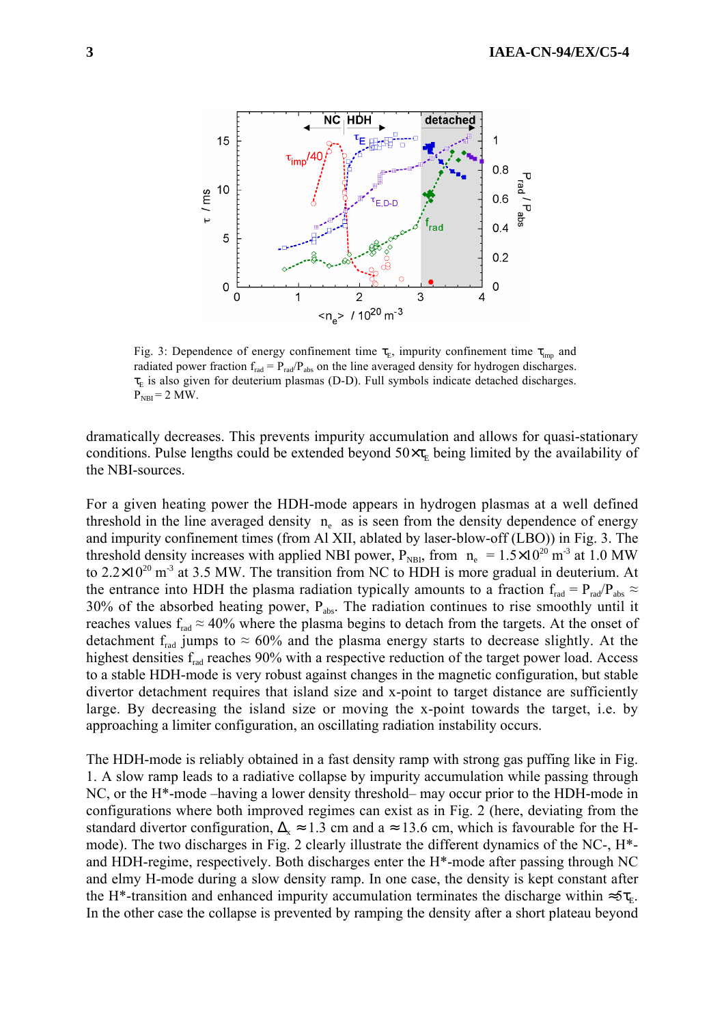

Fig. 3: Dependence of energy confinement time  $\tau_{E}$ , impurity confinement time  $\tau_{imp}$  and radiated power fraction  $f_{rad} = P_{rad}/P_{abs}$  on the line averaged density for hydrogen discharges.  $\tau_{\rm E}$  is also given for deuterium plasmas (D-D). Full symbols indicate detached discharges.  $P_{NBI} = 2 MW$ .

dramatically decreases. This prevents impurity accumulation and allows for quasi-stationary conditions. Pulse lengths could be extended beyond  $50 \times \tau_{\text{E}}$  being limited by the availability of the NBI-sources.

For a given heating power the HDH-mode appears in hydrogen plasmas at a well defined threshold in the line averaged density  $\langle n_{\gamma} \rangle$  as is seen from the density dependence of energy and impurity confinement times (from Al XII, ablated by laser-blow-off (LBO)) in Fig. 3. The threshold density increases with applied NBI power,  $P_{NBL}$ , from  $\langle n_e \rangle = 1.5 \times 10^{20}$  m<sup>-3</sup> at 1.0 MW to  $2.2 \times 10^{20}$  m<sup>-3</sup> at 3.5 MW. The transition from NC to HDH is more gradual in deuterium. At the entrance into HDH the plasma radiation typically amounts to a fraction  $f_{rad} = P_{rad}/P_{abs} \approx$  $30\%$  of the absorbed heating power,  $P_{\text{abs}}$ . The radiation continues to rise smoothly until it reaches values  $f_{rad} \approx 40\%$  where the plasma begins to detach from the targets. At the onset of detachment  $f_{rad}$  jumps to  $\approx 60\%$  and the plasma energy starts to decrease slightly. At the highest densities f<sub>rad</sub> reaches 90% with a respective reduction of the target power load. Access to a stable HDH-mode is very robust against changes in the magnetic configuration, but stable divertor detachment requires that island size and x-point to target distance are sufficiently large. By decreasing the island size or moving the x-point towards the target, i.e. by approaching a limiter configuration, an oscillating radiation instability occurs.

The HDH-mode is reliably obtained in a fast density ramp with strong gas puffing like in Fig. 1. A slow ramp leads to a radiative collapse by impurity accumulation while passing through  $NC$ , or the H<sup>\*</sup>-mode –having a lower density threshold– may occur prior to the HDH-mode in configurations where both improved regimes can exist as in Fig. 2 (here, deviating from the standard divertor configuration,  $\Delta_{x} \approx 1.3$  cm and a  $\approx 13.6$  cm, which is favourable for the Hmode). The two discharges in Fig. 2 clearly illustrate the different dynamics of the NC-, H\* and HDH-regime, respectively. Both discharges enter the H\*-mode after passing through NC and elmy H-mode during a slow density ramp. In one case, the density is kept constant after the H<sup>\*</sup>-transition and enhanced impurity accumulation terminates the discharge within  $\approx 5\tau_{\rm E}$ . In the other case the collapse is prevented by ramping the density after a short plateau beyond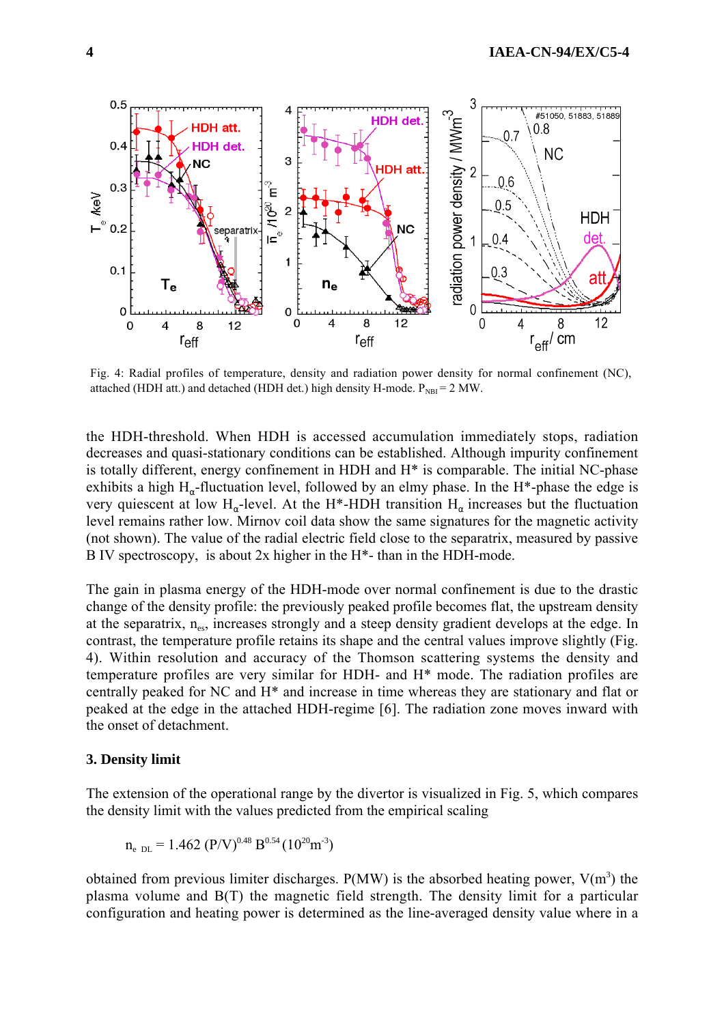

Fig. 4: Radial profiles of temperature, density and radiation power density for normal confinement (NC), attached (HDH att.) and detached (HDH det.) high density H-mode.  $P_{NBI} = 2 MW$ .

the HDH-threshold. When HDH is accessed accumulation immediately stops, radiation decreases and quasi-stationary conditions can be established. Although impurity confinement is totally different, energy confinement in HDH and H\* is comparable. The initial NC-phase exhibits a high  $H_{\alpha}$ -fluctuation level, followed by an elmy phase. In the H<sup>\*</sup>-phase the edge is very quiescent at low H<sub>α</sub>-level. At the H<sup>\*</sup>-HDH transition  $H_{\alpha}$  increases but the fluctuation level remains rather low. Mirnov coil data show the same signatures for the magnetic activity (not shown). The value of the radial electric field close to the separatrix, measured by passive B IV spectroscopy, is about  $2x$  higher in the H\*- than in the HDH-mode.

The gain in plasma energy of the HDH-mode over normal confinement is due to the drastic change of the density profile: the previously peaked profile becomes flat, the upstream density at the separatrix,  $n_{\text{es}}$ , increases strongly and a steep density gradient develops at the edge. In contrast, the temperature profile retains its shape and the central values improve slightly (Fig. 4). Within resolution and accuracy of the Thomson scattering systems the density and temperature profiles are very similar for HDH- and H\* mode. The radiation profiles are centrally peaked for NC and H\* and increase in time whereas they are stationary and flat or peaked at the edge in the attached HDH-regime [6]. The radiation zone moves inward with the onset of detachment.

### **3. Density limit**

The extension of the operational range by the divertor is visualized in Fig. 5, which compares the density limit with the values predicted from the empirical scaling

$$
\langle n_e \rangle_{DL} = 1.462 \ (P/V)^{0.48} \ B^{0.54} (10^{20} \text{m}^{-3})
$$

obtained from previous limiter discharges.  $P(MW)$  is the absorbed heating power,  $V(m^3)$  the plasma volume and B(T) the magnetic field strength. The density limit for a particular configuration and heating power is determined as the line-averaged density value where in a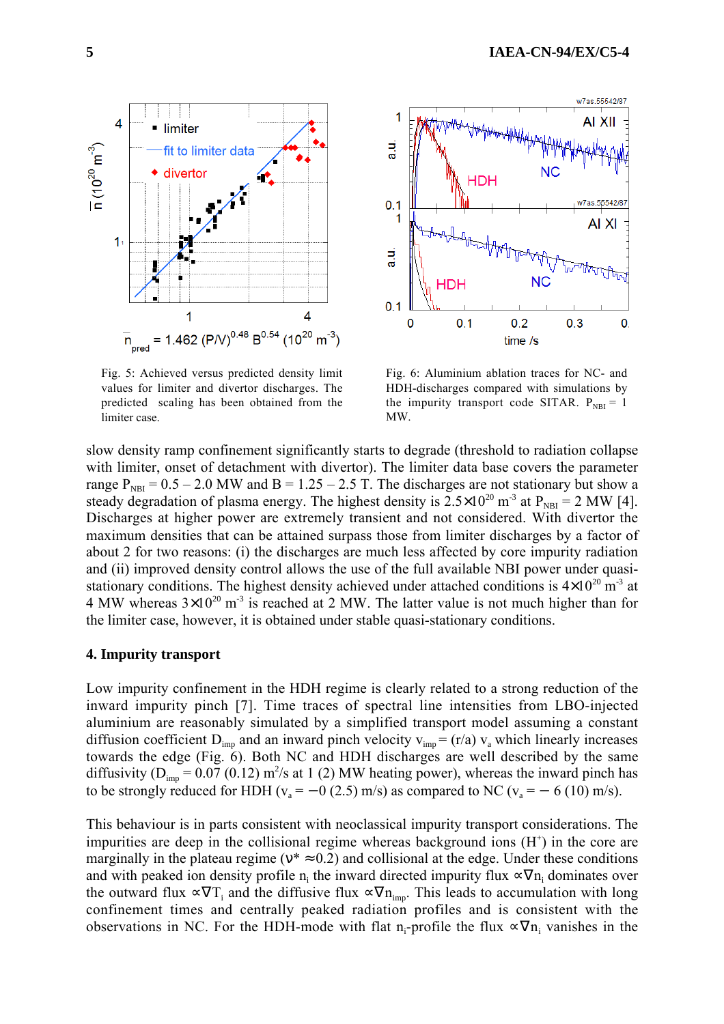

Fig. 5: Achieved versus predicted density limit values for limiter and divertor discharges. The predicted scaling has been obtained from the limiter case.



Fig. 6: Aluminium ablation traces for NC- and HDH-discharges compared with simulations by the impurity transport code SITAR.  $P_{NBI} = 1$ MW.

slow density ramp confinement significantly starts to degrade (threshold to radiation collapse with limiter, onset of detachment with divertor). The limiter data base covers the parameter range  $P_{NH} = 0.5 - 2.0$  MW and B = 1.25 – 2.5 T. The discharges are not stationary but show a steady degradation of plasma energy. The highest density is  $2.5 \times 10^{20}$  m<sup>-3</sup> at P<sub>NBI</sub> = 2 MW [4]. Discharges at higher power are extremely transient and not considered. With divertor the maximum densities that can be attained surpass those from limiter discharges by a factor of about 2 for two reasons: (i) the discharges are much less affected by core impurity radiation and (ii) improved density control allows the use of the full available NBI power under quasistationary conditions. The highest density achieved under attached conditions is  $4\times10^{20}$  m<sup>-3</sup> at 4 MW whereas  $3\times10^{20}$  m<sup>-3</sup> is reached at 2 MW. The latter value is not much higher than for the limiter case, however, it is obtained under stable quasi-stationary conditions.

#### **4. Impurity transport**

Low impurity confinement in the HDH regime is clearly related to a strong reduction of the inward impurity pinch [7]. Time traces of spectral line intensities from LBO-injected aluminium are reasonably simulated by a simplified transport model assuming a constant diffusion coefficient  $D_{imp}$  and an inward pinch velocity  $v_{imp} = (r/a) v_a$  which linearly increases towards the edge (Fig. 6). Both NC and HDH discharges are well described by the same diffusivity ( $D_{imp}$  = 0.07 (0.12) m<sup>2</sup>/s at 1 (2) MW heating power), whereas the inward pinch has to be strongly reduced for HDH ( $v_a = -0$  (2.5) m/s) as compared to NC ( $v_a = -6$  (10) m/s).

This behaviour is in parts consistent with neoclassical impurity transport considerations. The impurities are deep in the collisional regime whereas background ions  $(H<sup>+</sup>)$  in the core are marginally in the plateau regime ( $v^* \approx 0.2$ ) and collisional at the edge. Under these conditions and with peaked ion density profile  $n_i$  the inward directed impurity flux  $\propto \nabla n_i$  dominates over the outward flux  $\propto \nabla T_i$  and the diffusive flux  $\propto \nabla n_{imp}$ . This leads to accumulation with long confinement times and centrally peaked radiation profiles and is consistent with the observations in NC. For the HDH-mode with flat n<sub>i</sub>-profile the flux  $\propto \nabla n_i$  vanishes in the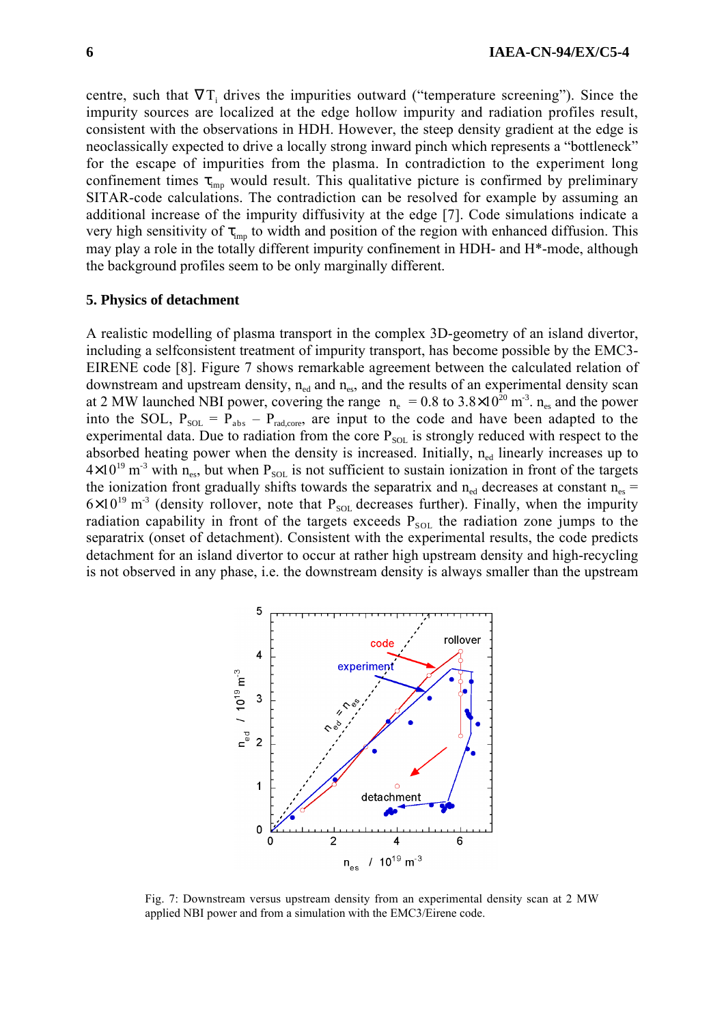centre, such that  $\nabla T_i$  drives the impurities outward ("temperature screening"). Since the impurity sources are localized at the edge hollow impurity and radiation profiles result, consistent with the observations in HDH. However, the steep density gradient at the edge is neoclassically expected to drive a locally strong inward pinch which represents a "bottleneck" for the escape of impurities from the plasma. In contradiction to the experiment long confinement times  $\tau_{\text{imp}}$  would result. This qualitative picture is confirmed by preliminary SITAR-code calculations. The contradiction can be resolved for example by assuming an additional increase of the impurity diffusivity at the edge [7]. Code simulations indicate a very high sensitivity of  $\tau_{\text{imp}}$  to width and position of the region with enhanced diffusion. This may play a role in the totally different impurity confinement in HDH- and H\*-mode, although the background profiles seem to be only marginally different.

## **5. Physics of detachment**

A realistic modelling of plasma transport in the complex 3D-geometry of an island divertor, including a selfconsistent treatment of impurity transport, has become possible by the EMC3- EIRENE code [8]. Figure 7 shows remarkable agreement between the calculated relation of downstream and upstream density,  $n_{ed}$  and  $n_{es}$ , and the results of an experimental density scan at 2 MW launched NBI power, covering the range  $\langle n_e \rangle = 0.8$  to 3.8×10<sup>20</sup> m<sup>-3</sup>. n<sub>es</sub> and the power into the SOL,  $P_{SOL} = \hat{P}_{abs} - P_{rad,core}$ , are input to the code and have been adapted to the experimental data. Due to radiation from the core  $P_{\text{SOL}}$  is strongly reduced with respect to the absorbed heating power when the density is increased. Initially,  $n_{ed}$  linearly increases up to  $4\times10^{19}$  m<sup>-3</sup> with n<sub>es</sub>, but when P<sub>SOL</sub> is not sufficient to sustain ionization in front of the targets the ionization front gradually shifts towards the separatrix and  $n_{\text{ed}}$  decreases at constant  $n_{\text{es}}$  =  $6\times10^{19}$  m<sup>-3</sup> (density rollover, note that P<sub>SOL</sub> decreases further). Finally, when the impurity radiation capability in front of the targets exceeds  $P_{SOL}$  the radiation zone jumps to the separatrix (onset of detachment). Consistent with the experimental results, the code predicts detachment for an island divertor to occur at rather high upstream density and high-recycling is not observed in any phase, i.e. the downstream density is always smaller than the upstream



Fig. 7: Downstream versus upstream density from an experimental density scan at 2 MW applied NBI power and from a simulation with the EMC3/Eirene code.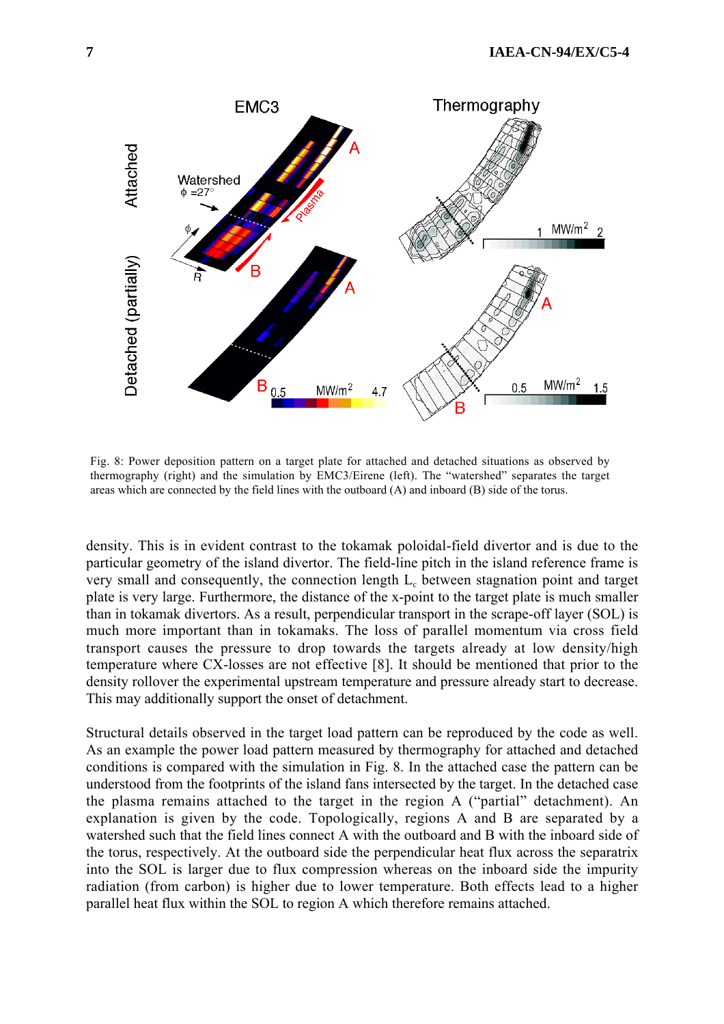

Fig. 8: Power deposition pattern on a target plate for attached and detached situations as observed by thermography (right) and the simulation by EMC3/Eirene (left). The "watershed" separates the target areas which are connected by the field lines with the outboard (A) and inboard (B) side of the torus.

density. This is in evident contrast to the tokamak poloidal-field divertor and is due to the particular geometry of the island divertor. The field-line pitch in the island reference frame is very small and consequently, the connection length L<sub>c</sub> between stagnation point and target plate is very large. Furthermore, the distance of the x-point to the target plate is much smaller than in tokamak divertors. As a result, perpendicular transport in the scrape-off layer (SOL) is much more important than in tokamaks. The loss of parallel momentum via cross field transport causes the pressure to drop towards the targets already at low density/high temperature where CX-losses are not effective [8]. It should be mentioned that prior to the density rollover the experimental upstream temperature and pressure already start to decrease. This may additionally support the onset of detachment.

Structural details observed in the target load pattern can be reproduced by the code as well. As an example the power load pattern measured by thermography for attached and detached conditions is compared with the simulation in Fig. 8. In the attached case the pattern can be understood from the footprints of the island fans intersected by the target. In the detached case the plasma remains attached to the target in the region A ("partial" detachment). An explanation is given by the code. Topologically, regions A and B are separated by a watershed such that the field lines connect A with the outboard and B with the inboard side of the torus, respectively. At the outboard side the perpendicular heat flux across the separatrix into the SOL is larger due to flux compression whereas on the inboard side the impurity radiation (from carbon) is higher due to lower temperature. Both effects lead to a higher parallel heat flux within the SOL to region A which therefore remains attached.